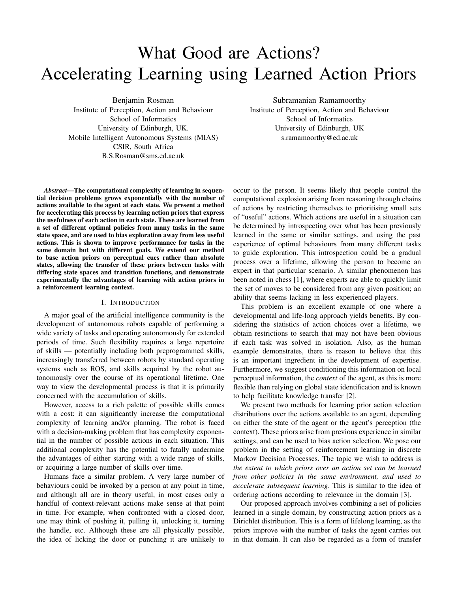# What Good are Actions? Accelerating Learning using Learned Action Priors

Benjamin Rosman

Institute of Perception, Action and Behaviour School of Informatics University of Edinburgh, UK. Mobile Intelligent Autonomous Systems (MIAS) CSIR, South Africa B.S.Rosman@sms.ed.ac.uk

Subramanian Ramamoorthy Institute of Perception, Action and Behaviour School of Informatics

University of Edinburgh, UK s.ramamoorthy@ed.ac.uk

*Abstract*—The computational complexity of learning in sequential decision problems grows exponentially with the number of actions available to the agent at each state. We present a method for accelerating this process by learning action priors that express the usefulness of each action in each state. These are learned from a set of different optimal policies from many tasks in the same state space, and are used to bias exploration away from less useful actions. This is shown to improve performance for tasks in the same domain but with different goals. We extend our method to base action priors on perceptual cues rather than absolute states, allowing the transfer of these priors between tasks with differing state spaces and transition functions, and demonstrate experimentally the advantages of learning with action priors in a reinforcement learning context.

## I. INTRODUCTION

A major goal of the artificial intelligence community is the development of autonomous robots capable of performing a wide variety of tasks and operating autonomously for extended periods of time. Such flexibility requires a large repertoire of skills — potentially including both preprogrammed skills, increasingly transferred between robots by standard operating systems such as ROS, and skills acquired by the robot autonomously over the course of its operational lifetime. One way to view the developmental process is that it is primarily concerned with the accumulation of skills.

However, access to a rich palette of possible skills comes with a cost: it can significantly increase the computational complexity of learning and/or planning. The robot is faced with a decision-making problem that has complexity exponential in the number of possible actions in each situation. This additional complexity has the potential to fatally undermine the advantages of either starting with a wide range of skills, or acquiring a large number of skills over time.

Humans face a similar problem. A very large number of behaviours could be invoked by a person at any point in time, and although all are in theory useful, in most cases only a handful of context-relevant actions make sense at that point in time. For example, when confronted with a closed door, one may think of pushing it, pulling it, unlocking it, turning the handle, etc. Although these are all physically possible, the idea of licking the door or punching it are unlikely to

occur to the person. It seems likely that people control the computational explosion arising from reasoning through chains of actions by restricting themselves to prioritising small sets of "useful" actions. Which actions are useful in a situation can be determined by introspecting over what has been previously learned in the same or similar settings, and using the past experience of optimal behaviours from many different tasks to guide exploration. This introspection could be a gradual process over a lifetime, allowing the person to become an expert in that particular scenario. A similar phenomenon has been noted in chess [1], where experts are able to quickly limit the set of moves to be considered from any given position; an ability that seems lacking in less experienced players.

This problem is an excellent example of one where a developmental and life-long approach yields benefits. By considering the statistics of action choices over a lifetime, we obtain restrictions to search that may not have been obvious if each task was solved in isolation. Also, as the human example demonstrates, there is reason to believe that this is an important ingredient in the development of expertise. Furthermore, we suggest conditioning this information on local perceptual information, the *context* of the agent, as this is more flexible than relying on global state identification and is known to help facilitate knowledge transfer [2].

We present two methods for learning prior action selection distributions over the actions available to an agent, depending on either the state of the agent or the agent's perception (the context). These priors arise from previous experience in similar settings, and can be used to bias action selection. We pose our problem in the setting of reinforcement learning in discrete Markov Decision Processes. The topic we wish to address is *the extent to which priors over an action set can be learned from other policies in the same environment, and used to accelerate subsequent learning*. This is similar to the idea of ordering actions according to relevance in the domain [3].

Our proposed approach involves combining a set of policies learned in a single domain, by constructing action priors as a Dirichlet distribution. This is a form of lifelong learning, as the priors improve with the number of tasks the agent carries out in that domain. It can also be regarded as a form of transfer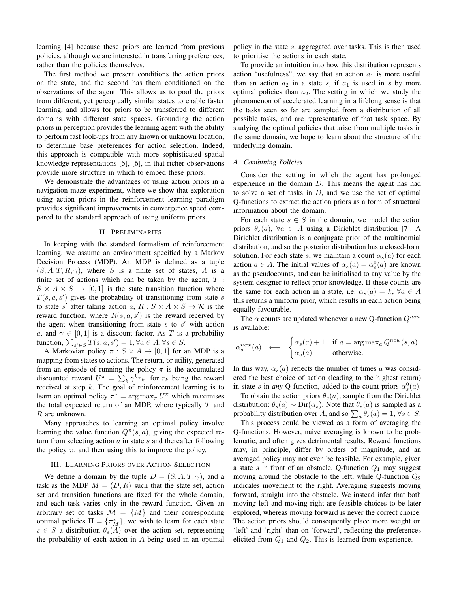learning [4] because these priors are learned from previous policies, although we are interested in transferring preferences, rather than the policies themselves.

The first method we present conditions the action priors on the state, and the second has them conditioned on the observations of the agent. This allows us to pool the priors from different, yet perceptually similar states to enable faster learning, and allows for priors to be transferred to different domains with different state spaces. Grounding the action priors in perception provides the learning agent with the ability to perform fast look-ups from any known or unknown location, to determine base preferences for action selection. Indeed, this approach is compatible with more sophisticated spatial knowledge representations [5], [6], in that richer observations provide more structure in which to embed these priors.

We demonstrate the advantages of using action priors in a navigation maze experiment, where we show that exploration using action priors in the reinforcement learning paradigm provides significant improvements in convergence speed compared to the standard approach of using uniform priors.

# II. PRELIMINARIES

In keeping with the standard formalism of reinforcement learning, we assume an environment specified by a Markov Decision Process (MDP). An MDP is defined as a tuple  $(S, A, T, R, \gamma)$ , where S is a finite set of states, A is a finite set of actions which can be taken by the agent,  $T$ :  $S \times A \times S \rightarrow [0, 1]$  is the state transition function where  $T(s, a, s')$  gives the probability of transitioning from state s to state s' after taking action a,  $R : S \times A \times S \rightarrow \mathcal{R}$  is the reward function, where  $R(s, a, s')$  is the reward received by the agent when transitioning from state  $s$  to  $s'$  with action a, and  $\gamma \in [0, 1]$  is a discount factor. As T is a probability function,  $\sum_{s' \in S} T(s, a, s') = 1, \forall a \in A, \forall s \in S$ .

A Markovian policy  $\pi : S \times A \rightarrow [0,1]$  for an MDP is a mapping from states to actions. The return, or utility, generated from an episode of running the policy  $\pi$  is the accumulated discounted reward  $U^{\pi} = \sum_{k} \gamma^{k} r_{k}$ , for  $r_{k}$  being the reward received at step  $k$ . The goal of reinforcement learning is to learn an optimal policy  $\pi^* = \arg \max_{\pi} U^{\pi}$  which maximises the total expected return of an MDP, where typically  $T$  and  $R$  are unknown.

Many approaches to learning an optimal policy involve learning the value function  $Q^{\pi}(s, a)$ , giving the expected return from selecting action  $a$  in state  $s$  and thereafter following the policy  $\pi$ , and then using this to improve the policy.

# III. LEARNING PRIORS OVER ACTION SELECTION

We define a domain by the tuple  $D = (S, A, T, \gamma)$ , and a task as the MDP  $M = (D, R)$  such that the state set, action set and transition functions are fixed for the whole domain, and each task varies only in the reward function. Given an arbitrary set of tasks  $\mathcal{M} = \{M\}$  and their corresponding optimal policies  $\Pi = {\pi_M^*}$ , we wish to learn for each state  $s \in S$  a distribution  $\theta_s(A)$  over the action set, representing the probability of each action in A being used in an optimal policy in the state s, aggregated over tasks. This is then used to prioritise the actions in each state.

To provide an intuition into how this distribution represents action "usefulness", we say that an action  $a_1$  is more useful than an action  $a_2$  in a state s, if  $a_1$  is used in s by more optimal policies than  $a_2$ . The setting in which we study the phenomenon of accelerated learning in a lifelong sense is that the tasks seen so far are sampled from a distribution of all possible tasks, and are representative of that task space. By studying the optimal policies that arise from multiple tasks in the same domain, we hope to learn about the structure of the underlying domain.

#### *A. Combining Policies*

Consider the setting in which the agent has prolonged experience in the domain D. This means the agent has had to solve a set of tasks in  $D$ , and we use the set of optimal Q-functions to extract the action priors as a form of structural information about the domain.

For each state  $s \in S$  in the domain, we model the action priors  $\theta_s(a)$ ,  $\forall a \in A$  using a Dirichlet distribution [7]. A Dirichlet distribution is a conjugate prior of the multinomial distribution, and so the posterior distribution has a closed-form solution. For each state s, we maintain a count  $\alpha_s(a)$  for each action  $a \in A$ . The initial values of  $\alpha_s(a) = \alpha_s^0(a)$  are known as the pseudocounts, and can be initialised to any value by the system designer to reflect prior knowledge. If these counts are the same for each action in a state, i.e.  $\alpha_s(a) = k$ ,  $\forall a \in A$ this returns a uniform prior, which results in each action being equally favourable.

The  $\alpha$  counts are updated whenever a new Q-function  $Q^{new}$ is available:

$$
\alpha_s^{new}(a) \quad \longleftarrow \quad \begin{cases} \alpha_s(a) + 1 & \text{if } a = \arg \max_a Q^{new}(s, a) \\ \alpha_s(a) & \text{otherwise.} \end{cases}
$$

In this way,  $\alpha_s(a)$  reflects the number of times a was considered the best choice of action (leading to the highest return) in state s in *any* Q-function, added to the count priors  $\alpha_s^0(a)$ .

To obtain the action priors  $\theta_s(a)$ , sample from the Dirichlet distribution:  $\theta_s(a) \sim \text{Dir}(\alpha_s)$ . Note that  $\theta_s(a)$  is sampled as a probability distribution over A, and so  $\sum_a \theta_s(a) = 1, \forall s \in S$ .

This process could be viewed as a form of averaging the Q-functions. However, naive averaging is known to be problematic, and often gives detrimental results. Reward functions may, in principle, differ by orders of magnitude, and an averaged policy may not even be feasible. For example, given a state s in front of an obstacle, Q-function  $Q_1$  may suggest moving around the obstacle to the left, while Q-function  $Q_2$ indicates movement to the right. Averaging suggests moving forward, straight into the obstacle. We instead infer that both moving left and moving right are feasible choices to be later explored, whereas moving forward is never the correct choice. The action priors should consequently place more weight on 'left' and 'right' than on 'forward', reflecting the preferences elicited from  $Q_1$  and  $Q_2$ . This is learned from experience.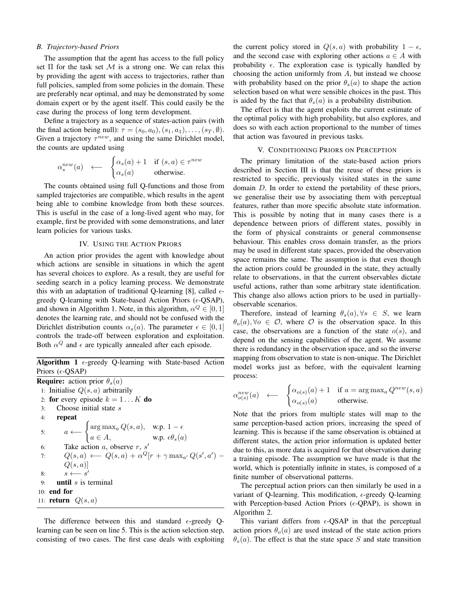# *B. Trajectory-based Priors*

The assumption that the agent has access to the full policy set  $\Pi$  for the task set  $M$  is a strong one. We can relax this by providing the agent with access to trajectories, rather than full policies, sampled from some policies in the domain. These are preferably near optimal, and may be demonstrated by some domain expert or by the agent itself. This could easily be the case during the process of long term development.

Define a trajectory as a sequence of states-action pairs (with the final action being null):  $\tau = (s_0, a_0), (s_1, a_1), \ldots, (s_T, \emptyset)$ . Given a trajectory  $\tau^{new}$ , and using the same Dirichlet model, the counts are updated using

$$
\alpha_s^{new}(a) \quad \longleftarrow \quad \begin{cases} \alpha_s(a) + 1 & \text{if } (s, a) \in \tau^{new} \\ \alpha_s(a) & \text{otherwise.} \end{cases}
$$

The counts obtained using full Q-functions and those from sampled trajectories are compatible, which results in the agent being able to combine knowledge from both these sources. This is useful in the case of a long-lived agent who may, for example, first be provided with some demonstrations, and later learn policies for various tasks.

# IV. USING THE ACTION PRIORS

An action prior provides the agent with knowledge about which actions are sensible in situations in which the agent has several choices to explore. As a result, they are useful for seeding search in a policy learning process. We demonstrate this with an adaptation of traditional Q-learning [8], called  $\epsilon$ greedy Q-learning with State-based Action Priors ( $\epsilon$ -QSAP), and shown in Algorithm 1. Note, in this algorithm,  $\alpha^Q \in [0,1]$ denotes the learning rate, and should not be confused with the Dirichlet distribution counts  $\alpha_s(a)$ . The parameter  $\epsilon \in [0,1]$ controls the trade-off between exploration and exploitation. Both  $\alpha^Q$  and  $\epsilon$  are typically annealed after each episode.

Algorithm 1  $\epsilon$ -greedy Q-learning with State-based Action Priors  $(\epsilon$ -QSAP)

**Require:** action prior  $\theta_s(a)$ 1: Initialise  $Q(s, a)$  arbitrarily 2: for every episode  $k = 1...K$  do 3: Choose initial state s 4: repeat 5:  $a \longleftarrow \begin{cases} \arg \max_{a} Q(s, a), & \text{w.p. } 1 - \epsilon \end{cases}$  $a \in A$ , w.p.  $\epsilon \theta_s(a)$ 6: Take action  $a$ , observe  $r$ ,  $s'$ 7:  $Q(s, a) \leftarrow Q(s, a) + \alpha^Q[r + \gamma \max_{a'} Q(s', a') Q(s, a)$ 8:  $s \longleftarrow s'$ 9: **until**  $s$  is terminal 10: end for 11: **return**  $Q(s, a)$ 

The difference between this and standard  $\epsilon$ -greedy Qlearning can be seen on line 5. This is the action selection step, consisting of two cases. The first case deals with exploiting

the current policy stored in  $Q(s, a)$  with probability  $1 - \epsilon$ , and the second case with exploring other actions  $a \in A$  with probability  $\epsilon$ . The exploration case is typically handled by choosing the action uniformly from  $A$ , but instead we choose with probability based on the prior  $\theta_s(a)$  to shape the action selection based on what were sensible choices in the past. This is aided by the fact that  $\theta_s(a)$  is a probability distribution.

The effect is that the agent exploits the current estimate of the optimal policy with high probability, but also explores, and does so with each action proportional to the number of times that action was favoured in previous tasks.

#### V. CONDITIONING PRIORS ON PERCEPTION

The primary limitation of the state-based action priors described in Section III is that the reuse of these priors is restricted to specific, previously visited states in the same domain D. In order to extend the portability of these priors, we generalise their use by associating them with perceptual features, rather than more specific absolute state information. This is possible by noting that in many cases there is a dependence between priors of different states, possibly in the form of physical constraints or general commonsense behaviour. This enables cross domain transfer, as the priors may be used in different state spaces, provided the observation space remains the same. The assumption is that even though the action priors could be grounded in the state, they actually relate to observations, in that the current observables dictate useful actions, rather than some arbitrary state identification. This change also allows action priors to be used in partiallyobservable scenarios.

Therefore, instead of learning  $\theta_s(a), \forall s \in S$ , we learn  $\theta_o(a), \forall o \in \mathcal{O}$ , where  $\mathcal O$  is the observation space. In this case, the observations are a function of the state  $o(s)$ , and depend on the sensing capabilities of the agent. We assume there is redundancy in the observation space, and so the inverse mapping from observation to state is non-unique. The Dirichlet model works just as before, with the equivalent learning process:

$$
\alpha_{o(s)}^{new}(a) \quad \longleftarrow \quad \begin{cases} \alpha_{o(s)}(a) + 1 & \text{if } a = \arg \max_a Q^{new}(s, a) \\ \alpha_{o(s)}(a) & \text{otherwise.} \end{cases}
$$

Note that the priors from multiple states will map to the same perception-based action priors, increasing the speed of learning. This is because if the same observation is obtained at different states, the action prior information is updated better due to this, as more data is acquired for that observation during a training episode. The assumption we have made is that the world, which is potentially infinite in states, is composed of a finite number of observational patterns.

The perceptual action priors can then similarly be used in a variant of Q-learning. This modification,  $\epsilon$ -greedy Q-learning with Perception-based Action Priors  $(\epsilon$ -QPAP), is shown in Algorithm 2.

This variant differs from  $\epsilon$ -QSAP in that the perceptual action priors  $\theta_o(a)$  are used instead of the state action priors  $\theta_s(a)$ . The effect is that the state space S and state transition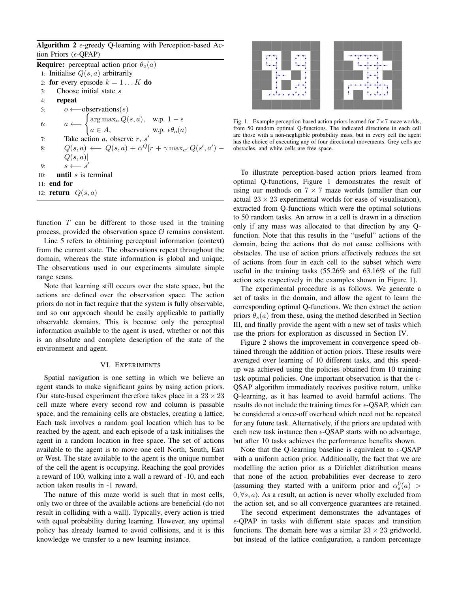Algorithm 2  $\epsilon$ -greedy Q-learning with Perception-based Action Priors ( $\epsilon$ -QPAP)

**Require:** perceptual action prior  $\theta_o(a)$ 1: Initialise  $Q(s, a)$  arbitrarily 2: for every episode  $k = 1...K$  do 3: Choose initial state s 4: repeat 5:  $o \leftarrow$ -observations(s) 6:  $a \longleftarrow \begin{cases} \arg \max_{a} Q(s, a), & \text{w.p. } 1 - \epsilon \end{cases}$  $a \in A$ , w.p.  $\epsilon \theta_o(a)$ 7: Take action  $a$ , observe  $r$ ,  $s'$ 8:  $Q(s, a) \leftarrow Q(s, a) + \alpha^Q[r + \gamma \max_{a'} Q(s', a') Q(s,a)$ 9:  $s \leftarrow s$  $\prime$ 10: **until**  $s$  is terminal 11: end for 12: **return**  $Q(s, a)$ 

function  $T$  can be different to those used in the training process, provided the observation space  $\mathcal O$  remains consistent.

Line 5 refers to obtaining perceptual information (context) from the current state. The observations repeat throughout the domain, whereas the state information is global and unique. The observations used in our experiments simulate simple range scans.

Note that learning still occurs over the state space, but the actions are defined over the observation space. The action priors do not in fact require that the system is fully observable, and so our approach should be easily applicable to partially observable domains. This is because only the perceptual information available to the agent is used, whether or not this is an absolute and complete description of the state of the environment and agent.

## VI. EXPERIMENTS

Spatial navigation is one setting in which we believe an agent stands to make significant gains by using action priors. Our state-based experiment therefore takes place in a  $23 \times 23$ cell maze where every second row and column is passable space, and the remaining cells are obstacles, creating a lattice. Each task involves a random goal location which has to be reached by the agent, and each episode of a task initialises the agent in a random location in free space. The set of actions available to the agent is to move one cell North, South, East or West. The state available to the agent is the unique number of the cell the agent is occupying. Reaching the goal provides a reward of 100, walking into a wall a reward of -10, and each action taken results in -1 reward.

The nature of this maze world is such that in most cells, only two or three of the available actions are beneficial (do not result in colliding with a wall). Typically, every action is tried with equal probability during learning. However, any optimal policy has already learned to avoid collisions, and it is this knowledge we transfer to a new learning instance.



Fig. 1. Example perception-based action priors learned for  $7 \times 7$  maze worlds, from 50 random optimal Q-functions. The indicated directions in each cell are those with a non-negligible probability mass, but in every cell the agent has the choice of executing any of four directional movements. Grey cells are obstacles, and white cells are free space.

To illustrate perception-based action priors learned from optimal Q-functions, Figure 1 demonstrates the result of using our methods on  $7 \times 7$  maze worlds (smaller than our actual  $23 \times 23$  experimental worlds for ease of visualisation), extracted from Q-functions which were the optimal solutions to 50 random tasks. An arrow in a cell is drawn in a direction only if any mass was allocated to that direction by any Qfunction. Note that this results in the "useful" actions of the domain, being the actions that do not cause collisions with obstacles. The use of action priors effectively reduces the set of actions from four in each cell to the subset which were useful in the training tasks (55.26% and 63.16% of the full action sets respectively in the examples shown in Figure 1).

The experimental procedure is as follows. We generate a set of tasks in the domain, and allow the agent to learn the corresponding optimal Q-functions. We then extract the action priors  $\theta_s(a)$  from these, using the method described in Section III, and finally provide the agent with a new set of tasks which use the priors for exploration as discussed in Section IV.

Figure 2 shows the improvement in convergence speed obtained through the addition of action priors. These results were averaged over learning of 10 different tasks, and this speedup was achieved using the policies obtained from 10 training task optimal policies. One important observation is that the  $\epsilon$ -QSAP algorithm immediately receives positive return, unlike Q-learning, as it has learned to avoid harmful actions. The results do not include the training times for  $\epsilon$ -QSAP, which can be considered a once-off overhead which need not be repeated for any future task. Alternatively, if the priors are updated with each new task instance then  $\epsilon$ -QSAP starts with no advantage, but after 10 tasks achieves the performance benefits shown.

Note that the Q-learning baseline is equivalent to  $\epsilon$ -QSAP with a uniform action prior. Additionally, the fact that we are modelling the action prior as a Dirichlet distribution means that none of the action probabilities ever decrease to zero (assuming they started with a uniform prior and  $\alpha_s^0(a)$  >  $0, \forall s, a$ ). As a result, an action is never wholly excluded from the action set, and so all convergence guarantees are retained.

The second experiment demonstrates the advantages of  $\epsilon$ -QPAP in tasks with different state spaces and transition functions. The domain here was a similar  $23 \times 23$  gridworld, but instead of the lattice configuration, a random percentage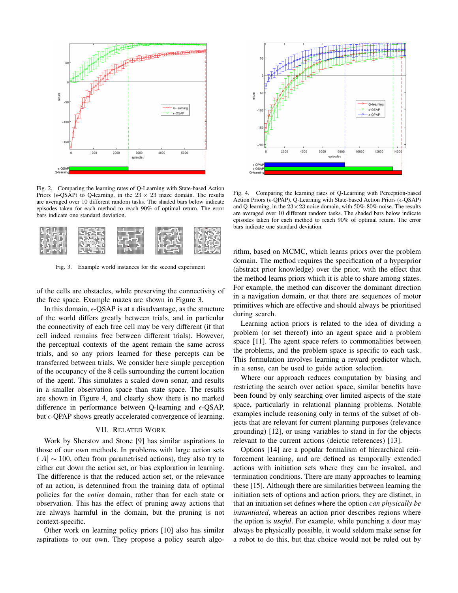

Fig. 2. Comparing the learning rates of Q-Learning with State-based Action Priors ( $\epsilon$ -QSAP) to Q-learning, in the 23  $\times$  23 maze domain. The results are averaged over 10 different random tasks. The shaded bars below indicate episodes taken for each method to reach 90% of optimal return. The error bars indicate one standard deviation.

| ------<br>CHEEK                        | <b>STATISTICS</b><br><br>w<br>m                                                                        | ж                                                          | -----------<br><b>TOP</b><br>.cm<br><b>HEER</b>                     | m                                                       |
|----------------------------------------|--------------------------------------------------------------------------------------------------------|------------------------------------------------------------|---------------------------------------------------------------------|---------------------------------------------------------|
| a spani<br>- 66<br>mas a<br><b>WEE</b> | 70.A<br>œ<br>an.<br>78<br><b>SENC</b><br><b>Book A.B.</b><br><b>SERK</b><br><b>Time</b><br><b>STAR</b> | m<br>,,,,,,,,<br>,,,,,,,                                   | <b>THERMANES</b><br><b>MEERS</b><br>- - -<br>×<br><b>THE</b><br>С'n | 79.<br>ж                                                |
| 78<br>-2347                            | ж<br>---<br>х<br><b>SECU</b><br>ч.                                                                     | <b>TEER</b><br><b>WARRANT</b><br>m<br><b>HILL</b>          | <b>SHET</b><br>www.c                                                | TBK.<br>m<br><b>SOF</b>                                 |
| æ<br>Æ.<br>m<br>■■■                    | ×<br>×<br>-<br><b>There</b><br>wana.<br>m.<br>19 Mi                                                    | <b>THE</b><br><b>BERTHER</b><br>-----<br>ж<br><b>THEFT</b> | ÷.<br><b>THEFT</b><br><b>BECKE</b><br>m<br>m                        | 766<br>'n Bat<br>m<br>BS.<br><b>COLOR</b><br>---<br>389 |
| - 19                                   | <b>SHEET BEE</b>                                                                                       | ×                                                          | <b>STATISTICS</b><br>棚<br><b>THE</b>                                | 295                                                     |

Fig. 3. Example world instances for the second experiment

of the cells are obstacles, while preserving the connectivity of the free space. Example mazes are shown in Figure 3.

In this domain,  $\epsilon$ -QSAP is at a disadvantage, as the structure of the world differs greatly between trials, and in particular the connectivity of each free cell may be very different (if that cell indeed remains free between different trials). However, the perceptual contexts of the agent remain the same across trials, and so any priors learned for these percepts can be transferred between trials. We consider here simple perception of the occupancy of the 8 cells surrounding the current location of the agent. This simulates a scaled down sonar, and results in a smaller observation space than state space. The results are shown in Figure 4, and clearly show there is no marked difference in performance between Q-learning and  $\epsilon$ -QSAP, but  $\epsilon$ -QPAP shows greatly accelerated convergence of learning.

#### VII. RELATED WORK

Work by Sherstov and Stone [9] has similar aspirations to those of our own methods. In problems with large action sets  $(|A| \sim 100$ , often from parametrised actions), they also try to either cut down the action set, or bias exploration in learning. The difference is that the reduced action set, or the relevance of an action, is determined from the training data of optimal policies for the *entire* domain, rather than for each state or observation. This has the effect of pruning away actions that are always harmful in the domain, but the pruning is not context-specific.

Other work on learning policy priors [10] also has similar aspirations to our own. They propose a policy search algo-



Fig. 4. Comparing the learning rates of Q-Learning with Perception-based Action Priors ( $\epsilon$ -OPAP), O-Learning with State-based Action Priors ( $\epsilon$ -OSAP) and Q-learning, in the  $23 \times 23$  noise domain, with 50%-80% noise. The results are averaged over 10 different random tasks. The shaded bars below indicate episodes taken for each method to reach 90% of optimal return. The error bars indicate one standard deviation.

rithm, based on MCMC, which learns priors over the problem domain. The method requires the specification of a hyperprior (abstract prior knowledge) over the prior, with the effect that the method learns priors which it is able to share among states. For example, the method can discover the dominant direction in a navigation domain, or that there are sequences of motor primitives which are effective and should always be prioritised during search.

Learning action priors is related to the idea of dividing a problem (or set thereof) into an agent space and a problem space [11]. The agent space refers to commonalities between the problems, and the problem space is specific to each task. This formulation involves learning a reward predictor which, in a sense, can be used to guide action selection.

Where our approach reduces computation by biasing and restricting the search over action space, similar benefits have been found by only searching over limited aspects of the state space, particularly in relational planning problems. Notable examples include reasoning only in terms of the subset of objects that are relevant for current planning purposes (relevance grounding) [12], or using variables to stand in for the objects relevant to the current actions (deictic references) [13].

Options [14] are a popular formalism of hierarchical reinforcement learning, and are defined as temporally extended actions with initiation sets where they can be invoked, and termination conditions. There are many approaches to learning these [15]. Although there are similarities between learning the initiation sets of options and action priors, they are distinct, in that an initiation set defines where the option *can physically be instantiated*, whereas an action prior describes regions where the option is *useful*. For example, while punching a door may always be physically possible, it would seldom make sense for a robot to do this, but that choice would not be ruled out by